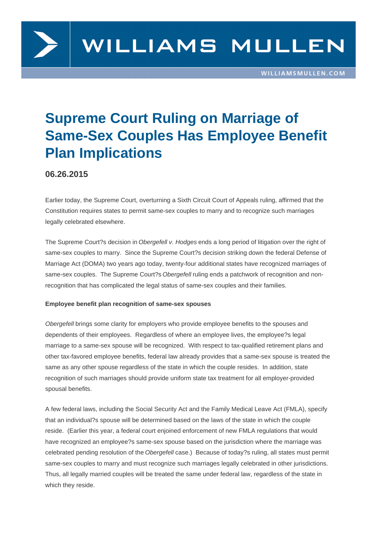

# **Supreme Court Ruling on Marriage of Same-Sex Couples Has Employee Benefit Plan Implications**

### **06.26.2015**

Earlier today, the Supreme Court, overturning a Sixth Circuit Court of Appeals ruling, affirmed that the Constitution requires states to permit same-sex couples to marry and to recognize such marriages legally celebrated elsewhere.

The Supreme Court?s decision in Obergefell v. Hodges ends a long period of litigation over the right of same-sex couples to marry. Since the Supreme Court?s decision striking down the federal Defense of Marriage Act (DOMA) two years ago today, twenty-four additional states have recognized marriages of same-sex couples. The Supreme Court?s Obergefell ruling ends a patchwork of recognition and nonrecognition that has complicated the legal status of same-sex couples and their families.

#### **Employee benefit plan recognition of same-sex spouses**

Obergefell brings some clarity for employers who provide employee benefits to the spouses and dependents of their employees. Regardless of where an employee lives, the employee?s legal marriage to a same-sex spouse will be recognized. With respect to tax-qualified retirement plans and other tax-favored employee benefits, federal law already provides that a same-sex spouse is treated the same as any other spouse regardless of the state in which the couple resides. In addition, state recognition of such marriages should provide uniform state tax treatment for all employer-provided spousal benefits.

A few federal laws, including the Social Security Act and the Family Medical Leave Act (FMLA), specify that an individual?s spouse will be determined based on the laws of the state in which the couple reside. (Earlier this year, a federal court enjoined enforcement of new FMLA regulations that would have recognized an employee?s same-sex spouse based on the jurisdiction where the marriage was celebrated pending resolution of the Obergefell case.) Because of today?s ruling, all states must permit same-sex couples to marry and must recognize such marriages legally celebrated in other jurisdictions. Thus, all legally married couples will be treated the same under federal law, regardless of the state in which they reside.